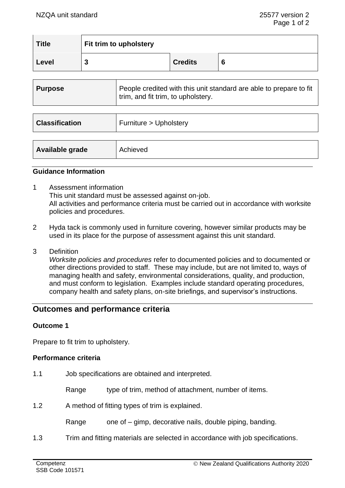| <b>Title</b> | Fit trim to upholstery |                |   |  |
|--------------|------------------------|----------------|---|--|
| Level        | J                      | <b>Credits</b> | O |  |

| <b>Purpose</b>        | People credited with this unit standard are able to prepare to fit<br>trim, and fit trim, to upholstery. |
|-----------------------|----------------------------------------------------------------------------------------------------------|
|                       |                                                                                                          |
| <b>Classification</b> | Furniture > Upholstery                                                                                   |
|                       |                                                                                                          |
| Available grade       | Achieved                                                                                                 |

#### **Guidance Information**

- 1 Assessment information This unit standard must be assessed against on-job. All activities and performance criteria must be carried out in accordance with worksite policies and procedures.
- 2 Hyda tack is commonly used in furniture covering, however similar products may be used in its place for the purpose of assessment against this unit standard.
- 3 Definition

*Worksite policies and procedures* refer to documented policies and to documented or other directions provided to staff. These may include, but are not limited to, ways of managing health and safety, environmental considerations, quality, and production, and must conform to legislation. Examples include standard operating procedures, company health and safety plans, on-site briefings, and supervisor's instructions.

# **Outcomes and performance criteria**

#### **Outcome 1**

Prepare to fit trim to upholstery.

#### **Performance criteria**

1.1 Job specifications are obtained and interpreted.

Range type of trim, method of attachment, number of items.

1.2 A method of fitting types of trim is explained.

Range one of – gimp, decorative nails, double piping, banding.

1.3 Trim and fitting materials are selected in accordance with job specifications.